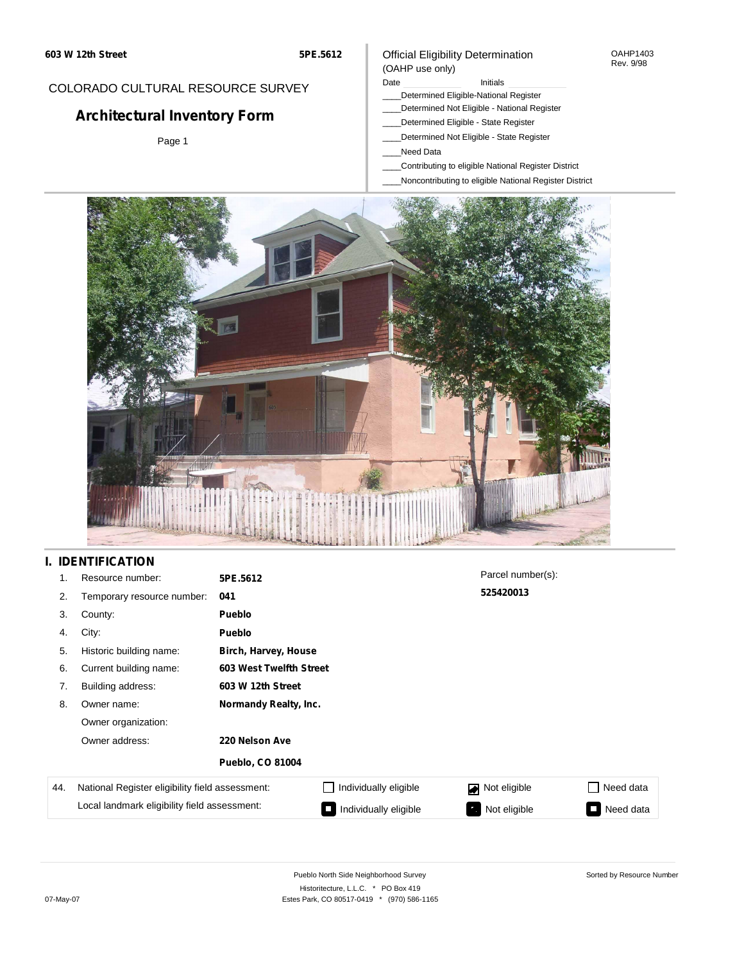## COLORADO CULTURAL RESOURCE SURVEY

# **Architectural Inventory Form**

Page 1

#### Official Eligibility Determination (OAHP use only)

- Date **Initials**
- \_\_\_\_Determined Eligible-National Register
- \_\_\_\_Determined Not Eligible National Register
	- \_\_\_\_Determined Eligible State Register
- \_\_\_\_Determined Not Eligible State Register
- \_\_\_\_Need Data
- \_\_\_\_Contributing to eligible National Register District
- \_\_\_\_Noncontributing to eligible National Register District



## **I. IDENTIFICATION**

| 1.  | Resource number:                                | 5PE.5612                |                         | Parcel number(s): |                                       |  |  |  |  |
|-----|-------------------------------------------------|-------------------------|-------------------------|-------------------|---------------------------------------|--|--|--|--|
| 2.  | Temporary resource number:                      | 041                     |                         | 525420013         |                                       |  |  |  |  |
| 3.  | County:                                         | Pueblo                  |                         |                   |                                       |  |  |  |  |
| 4.  | City:                                           | Pueblo                  |                         |                   |                                       |  |  |  |  |
| 5.  | Historic building name:                         |                         | Birch, Harvey, House    |                   |                                       |  |  |  |  |
| 6.  | Current building name:                          |                         | 603 West Twelfth Street |                   |                                       |  |  |  |  |
| 7.  | Building address:                               | 603 W 12th Street       |                         |                   |                                       |  |  |  |  |
| 8.  | Owner name:                                     | Normandy Realty, Inc.   |                         |                   |                                       |  |  |  |  |
|     | Owner organization:                             |                         |                         |                   |                                       |  |  |  |  |
|     | Owner address:                                  | 220 Nelson Ave          |                         |                   |                                       |  |  |  |  |
|     |                                                 | <b>Pueblo, CO 81004</b> |                         |                   |                                       |  |  |  |  |
| 44. | National Register eligibility field assessment: |                         | Individually eligible   | Not eligible<br>◪ | Need data                             |  |  |  |  |
|     | Local landmark eligibility field assessment:    |                         | Individually eligible   | Not eligible      | Need data<br>$\overline{\phantom{a}}$ |  |  |  |  |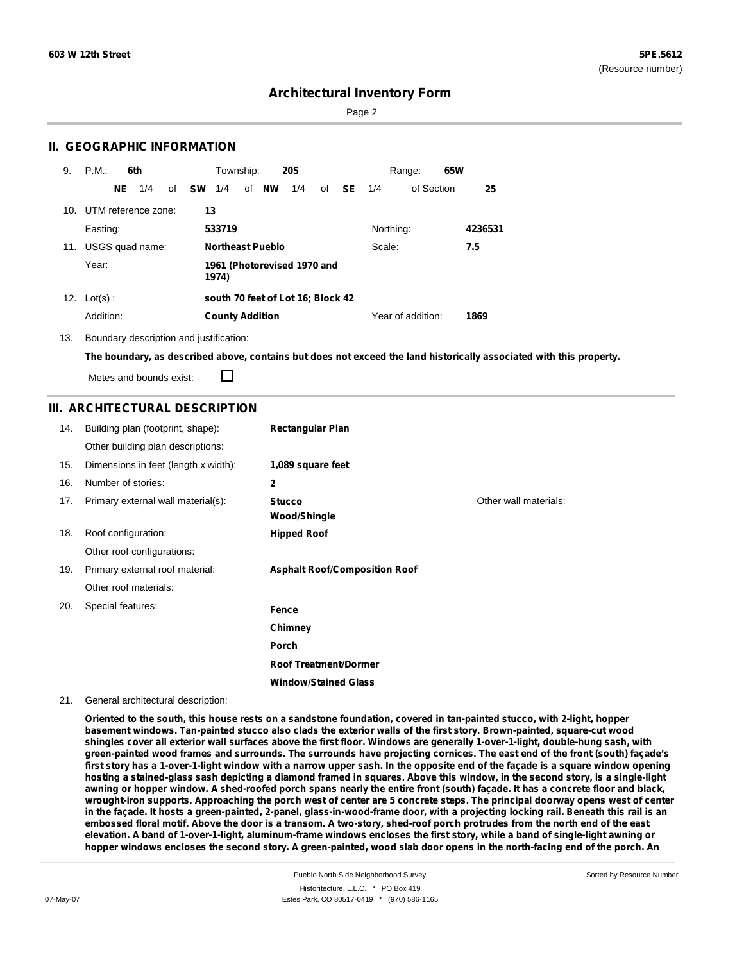Sorted by Resource Number

# **Architectural Inventory Form**

Page 2

### **II. GEOGRAPHIC INFORMATION**

| 9.  | P.M.                | 6th |     |    |           | Township:              |                         | <b>20S</b>                        |    |               |           | Range:            | 65W |         |
|-----|---------------------|-----|-----|----|-----------|------------------------|-------------------------|-----------------------------------|----|---------------|-----------|-------------------|-----|---------|
|     |                     | NE  | 1/4 | of | <b>SW</b> | 1/4                    | of <b>NW</b>            | 1/4                               | οf | <b>SE</b> 1/4 |           | of Section        |     | 25      |
| 10. | UTM reference zone: |     |     |    | 13        |                        |                         |                                   |    |               |           |                   |     |         |
|     | Easting:            |     |     |    |           | 533719                 |                         |                                   |    |               | Northing: |                   |     | 4236531 |
| 11. | USGS quad name:     |     |     |    |           |                        | <b>Northeast Pueblo</b> |                                   |    |               | Scale:    |                   |     | 7.5     |
|     | Year:               |     |     |    |           | 1974)                  |                         | 1961 (Photorevised 1970 and       |    |               |           |                   |     |         |
| 12. | $Lot(s)$ :          |     |     |    |           |                        |                         | south 70 feet of Lot 16; Block 42 |    |               |           |                   |     |         |
|     | Addition:           |     |     |    |           | <b>County Addition</b> |                         |                                   |    |               |           | Year of addition: |     | 1869    |

13. Boundary description and justification:

The boundary, as described above, contains but does not exceed the land historically associated with this property.

Metes and bounds exist:

П

#### **III. ARCHITECTURAL DESCRIPTION**

| 14. | Building plan (footprint, shape):    | <b>Rectangular Plan</b>              |                       |
|-----|--------------------------------------|--------------------------------------|-----------------------|
|     | Other building plan descriptions:    |                                      |                       |
| 15. | Dimensions in feet (length x width): | 1,089 square feet                    |                       |
| 16. | Number of stories:                   | $\mathbf{2}$                         |                       |
| 17. | Primary external wall material(s):   | <b>Stucco</b><br><b>Wood/Shingle</b> | Other wall materials: |
| 18. | Roof configuration:                  | <b>Hipped Roof</b>                   |                       |
|     | Other roof configurations:           |                                      |                       |
| 19. | Primary external roof material:      | <b>Asphalt Roof/Composition Roof</b> |                       |
|     | Other roof materials:                |                                      |                       |
| 20. | Special features:                    | Fence                                |                       |
|     |                                      | Chimney                              |                       |
|     |                                      | Porch                                |                       |
|     |                                      | <b>Roof Treatment/Dormer</b>         |                       |
|     |                                      | <b>Window/Stained Glass</b>          |                       |

#### 21. General architectural description:

Oriented to the south, this house rests on a sandstone foundation, covered in tan-painted stucco, with 2-light, hopper basement windows. Tan-painted stucco also clads the exterior walls of the first story. Brown-painted, square-cut wood shingles cover all exterior wall surfaces above the first floor. Windows are generally 1-over-1-light, double-hung sash, with green-painted wood frames and surrounds. The surrounds have projecting cornices. The east end of the front (south) facade's first story has a 1-over-1-light window with a narrow upper sash. In the opposite end of the façade is a square window opening hosting a stained-glass sash depicting a diamond framed in squares. Above this window, in the second story, is a single-light awning or hopper window. A shed-roofed porch spans nearly the entire front (south) façade. It has a concrete floor and black, wrought-iron supports. Approaching the porch west of center are 5 concrete steps. The principal doorway opens west of center in the façade. It hosts a green-painted, 2-panel, glass-in-wood-frame door, with a projecting locking rail. Beneath this rail is an embossed floral motif. Above the door is a transom. A two-story, shed-roof porch protrudes from the north end of the east elevation. A band of 1-over-1-light, aluminum-frame windows encloses the first story, while a band of single-light awning or hopper windows encloses the second story. A green-painted, wood slab door opens in the north-facing end of the porch. An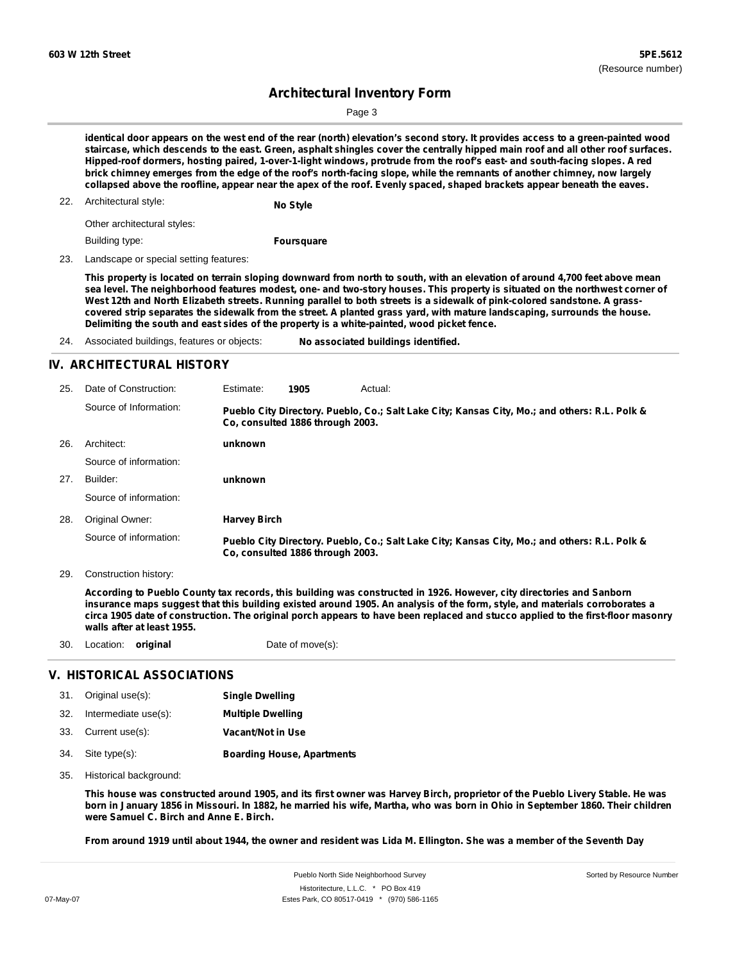Page 3

identical door appears on the west end of the rear (north) elevation's second story. It provides access to a green-painted wood staircase, which descends to the east. Green, asphalt shingles cover the centrally hipped main roof and all other roof surfaces. Hipped-roof dormers, hosting paired, 1-over-1-light windows, protrude from the roof's east- and south-facing slopes. A red brick chimney emerges from the edge of the roof's north-facing slope, while the remnants of another chimney, now largely collapsed above the roofline, appear near the apex of the roof. Evenly spaced, shaped brackets appear beneath the eaves.

22. Architectural style: **No Style**

Other architectural styles:

Building type:

**Foursquare**

23. Landscape or special setting features:

This property is located on terrain sloping downward from north to south, with an elevation of around 4,700 feet above mean sea level. The neighborhood features modest, one- and two-story houses. This property is situated on the northwest corner of West 12th and North Elizabeth streets. Running parallel to both streets is a sidewalk of pink-colored sandstone. A grasscovered strip separates the sidewalk from the street. A planted grass yard, with mature landscaping, surrounds the house. **Delimiting the south and east sides of the property is a white-painted, wood picket fence.**

24. Associated buildings, features or objects: **No associated buildings identified.**

### **IV. ARCHITECTURAL HISTORY**

| 25. | Date of Construction:  | Estimate:                                                                                                                         | 1905                             | Actual:                                                                                       |  |  |  |  |
|-----|------------------------|-----------------------------------------------------------------------------------------------------------------------------------|----------------------------------|-----------------------------------------------------------------------------------------------|--|--|--|--|
|     | Source of Information: | Pueblo City Directory. Pueblo, Co.; Salt Lake City; Kansas City, Mo.; and others: R.L. Polk &<br>Co. consulted 1886 through 2003. |                                  |                                                                                               |  |  |  |  |
| 26. | Architect:             | unknown                                                                                                                           |                                  |                                                                                               |  |  |  |  |
|     | Source of information: |                                                                                                                                   |                                  |                                                                                               |  |  |  |  |
| 27. | Builder:               | unknown                                                                                                                           |                                  |                                                                                               |  |  |  |  |
|     | Source of information: |                                                                                                                                   |                                  |                                                                                               |  |  |  |  |
| 28. | Original Owner:        | <b>Harvey Birch</b>                                                                                                               |                                  |                                                                                               |  |  |  |  |
|     | Source of information: |                                                                                                                                   | Co. consulted 1886 through 2003. | Pueblo City Directory. Pueblo, Co.; Salt Lake City; Kansas City, Mo.; and others: R.L. Polk & |  |  |  |  |

29. Construction history:

According to Pueblo County tax records, this building was constructed in 1926. However, city directories and Sanborn insurance maps suggest that this building existed around 1905. An analysis of the form, style, and materials corroborates a circa 1905 date of construction. The original porch appears to have been replaced and stucco applied to the first-floor masonry **walls after at least 1955.**

30. Location: **original** Date of move(s):

## **V. HISTORICAL ASSOCIATIONS**

| 31. Original use(s):     | <b>Single Dwelling</b>            |
|--------------------------|-----------------------------------|
| 32. Intermediate use(s): | <b>Multiple Dwelling</b>          |
| 33. Current use(s):      | Vacant/Not in Use                 |
| 34. Site type(s):        | <b>Boarding House, Apartments</b> |

35. Historical background:

This house was constructed around 1905, and its first owner was Harvey Birch, proprietor of the Pueblo Livery Stable. He was born in January 1856 in Missouri. In 1882, he married his wife, Martha, who was born in Ohio in September 1860. Their children **were Samuel C. Birch and Anne E. Birch.**

From around 1919 until about 1944, the owner and resident was Lida M. Ellington. She was a member of the Seventh Day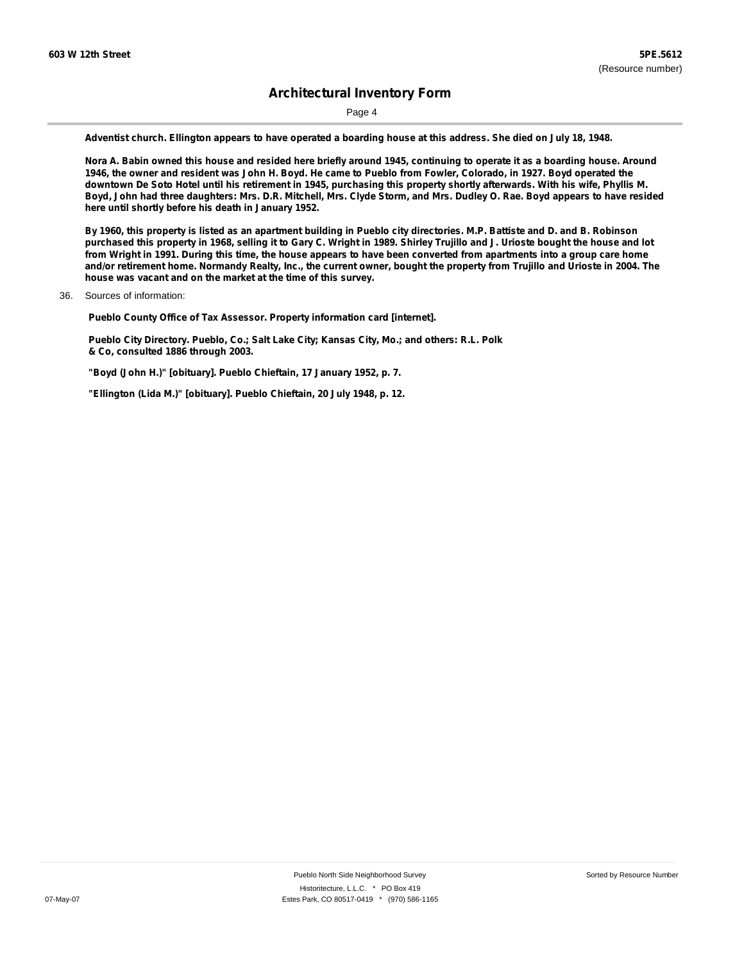Page 4

Adventist church. Ellington appears to have operated a boarding house at this address. She died on July 18, 1948.

Nora A. Babin owned this house and resided here briefly around 1945, continuing to operate it as a boarding house. Around 1946, the owner and resident was John H. Boyd. He came to Pueblo from Fowler, Colorado, in 1927. Boyd operated the downtown De Soto Hotel until his retirement in 1945, purchasing this property shortly afterwards. With his wife, Phyllis M. Boyd, John had three daughters: Mrs. D.R. Mitchell, Mrs. Clyde Storm, and Mrs. Dudley O. Rae. Boyd appears to have resided **here until shortly before his death in January 1952.**

By 1960, this property is listed as an apartment building in Pueblo city directories. M.P. Battiste and D. and B. Robinson purchased this property in 1968, selling it to Gary C. Wright in 1989. Shirley Trujillo and J. Urioste bought the house and lot from Wright in 1991. During this time, the house appears to have been converted from apartments into a group care home and/or retirement home. Normandy Realty, Inc., the current owner, bought the property from Trujillo and Urioste in 2004. The **house was vacant and on the market at the time of this survey.**

36. Sources of information:

**Pueblo County Office of Tax Assessor. Property information card [internet].**

**Pueblo City Directory. Pueblo, Co.; Salt Lake City; Kansas City, Mo.; and others: R.L. Polk & Co, consulted 1886 through 2003.**

**"Boyd (John H.)" [obituary]. Pueblo Chieftain, 17 January 1952, p. 7.**

**"Ellington (Lida M.)" [obituary]. Pueblo Chieftain, 20 July 1948, p. 12.**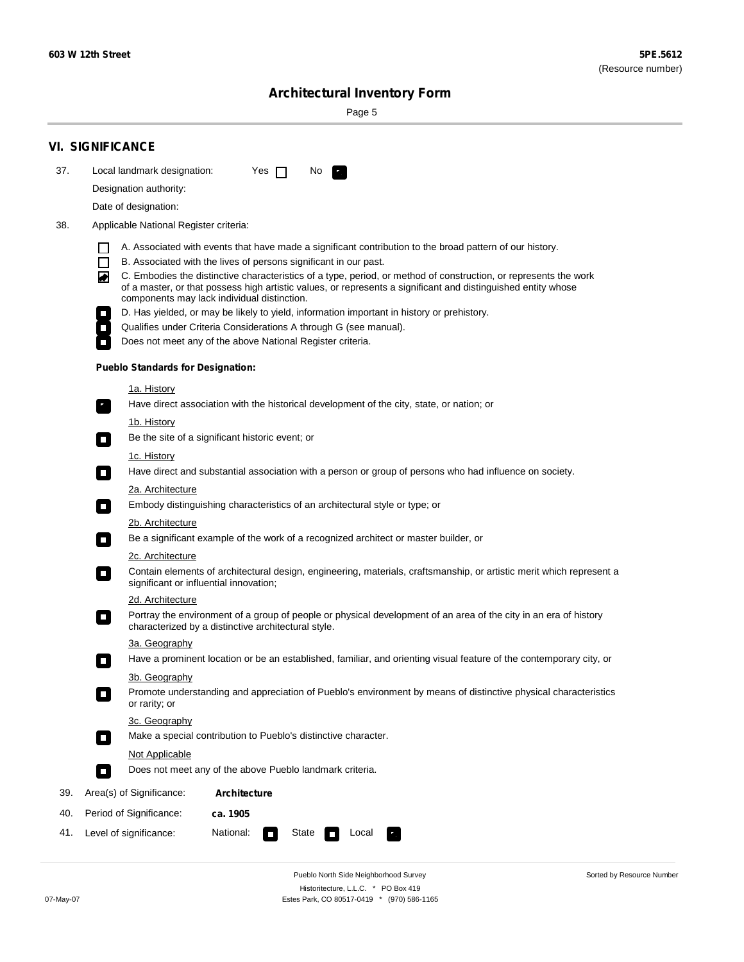۰

Sorted by Resource Number

# **Architectural Inventory Form**

Page 5

|     | <b>VI. SIGNIFICANCE</b>                                                                                                                                                                                                                                                               |  |  |  |  |  |  |  |
|-----|---------------------------------------------------------------------------------------------------------------------------------------------------------------------------------------------------------------------------------------------------------------------------------------|--|--|--|--|--|--|--|
| 37. | Local landmark designation:<br>Yes $\Box$<br>No.                                                                                                                                                                                                                                      |  |  |  |  |  |  |  |
|     | Designation authority:                                                                                                                                                                                                                                                                |  |  |  |  |  |  |  |
|     | Date of designation:                                                                                                                                                                                                                                                                  |  |  |  |  |  |  |  |
| 38. | Applicable National Register criteria:                                                                                                                                                                                                                                                |  |  |  |  |  |  |  |
|     | A. Associated with events that have made a significant contribution to the broad pattern of our history.<br>l 1                                                                                                                                                                       |  |  |  |  |  |  |  |
|     | $\Box$<br>B. Associated with the lives of persons significant in our past.                                                                                                                                                                                                            |  |  |  |  |  |  |  |
|     | C. Embodies the distinctive characteristics of a type, period, or method of construction, or represents the work<br>◙<br>of a master, or that possess high artistic values, or represents a significant and distinguished entity whose<br>components may lack individual distinction. |  |  |  |  |  |  |  |
|     | D. Has yielded, or may be likely to yield, information important in history or prehistory.                                                                                                                                                                                            |  |  |  |  |  |  |  |
|     | Qualifies under Criteria Considerations A through G (see manual).                                                                                                                                                                                                                     |  |  |  |  |  |  |  |
|     | Does not meet any of the above National Register criteria.                                                                                                                                                                                                                            |  |  |  |  |  |  |  |
|     | <b>Pueblo Standards for Designation:</b>                                                                                                                                                                                                                                              |  |  |  |  |  |  |  |
|     | <u>1a. History</u>                                                                                                                                                                                                                                                                    |  |  |  |  |  |  |  |
|     | Have direct association with the historical development of the city, state, or nation; or                                                                                                                                                                                             |  |  |  |  |  |  |  |
|     | 1b. History<br>Be the site of a significant historic event; or<br>$\mathcal{L}_{\mathcal{A}}$                                                                                                                                                                                         |  |  |  |  |  |  |  |
|     | <u>1c. History</u>                                                                                                                                                                                                                                                                    |  |  |  |  |  |  |  |
|     | Have direct and substantial association with a person or group of persons who had influence on society.<br>$\blacksquare$                                                                                                                                                             |  |  |  |  |  |  |  |
|     | 2a. Architecture                                                                                                                                                                                                                                                                      |  |  |  |  |  |  |  |
|     | Embody distinguishing characteristics of an architectural style or type; or<br>$\overline{\phantom{a}}$                                                                                                                                                                               |  |  |  |  |  |  |  |
|     | <u>2b. Architecture</u>                                                                                                                                                                                                                                                               |  |  |  |  |  |  |  |
|     | Be a significant example of the work of a recognized architect or master builder, or<br>$\overline{\phantom{a}}$                                                                                                                                                                      |  |  |  |  |  |  |  |
|     | <b>2c. Architecture</b>                                                                                                                                                                                                                                                               |  |  |  |  |  |  |  |
|     | Contain elements of architectural design, engineering, materials, craftsmanship, or artistic merit which represent a<br>О<br>significant or influential innovation;                                                                                                                   |  |  |  |  |  |  |  |
|     | 2d. Architecture                                                                                                                                                                                                                                                                      |  |  |  |  |  |  |  |
|     | Portray the environment of a group of people or physical development of an area of the city in an era of history<br>$\Box$<br>characterized by a distinctive architectural style.                                                                                                     |  |  |  |  |  |  |  |
|     | 3a. Geography                                                                                                                                                                                                                                                                         |  |  |  |  |  |  |  |
|     | Have a prominent location or be an established, familiar, and orienting visual feature of the contemporary city, or<br>П                                                                                                                                                              |  |  |  |  |  |  |  |
|     | 3b. Geography                                                                                                                                                                                                                                                                         |  |  |  |  |  |  |  |
|     | Promote understanding and appreciation of Pueblo's environment by means of distinctive physical characteristics<br>or rarity; or                                                                                                                                                      |  |  |  |  |  |  |  |
|     | 3c. Geography<br>Make a special contribution to Pueblo's distinctive character.<br>$\overline{\phantom{a}}$                                                                                                                                                                           |  |  |  |  |  |  |  |
|     | <b>Not Applicable</b>                                                                                                                                                                                                                                                                 |  |  |  |  |  |  |  |
|     | Does not meet any of the above Pueblo landmark criteria.<br>$\sim$                                                                                                                                                                                                                    |  |  |  |  |  |  |  |
| 39. | Area(s) of Significance:<br><b>Architecture</b>                                                                                                                                                                                                                                       |  |  |  |  |  |  |  |
| 40. | Period of Significance:<br>ca. 1905                                                                                                                                                                                                                                                   |  |  |  |  |  |  |  |
| 41. | National:<br>Level of significance:<br>State<br>Local                                                                                                                                                                                                                                 |  |  |  |  |  |  |  |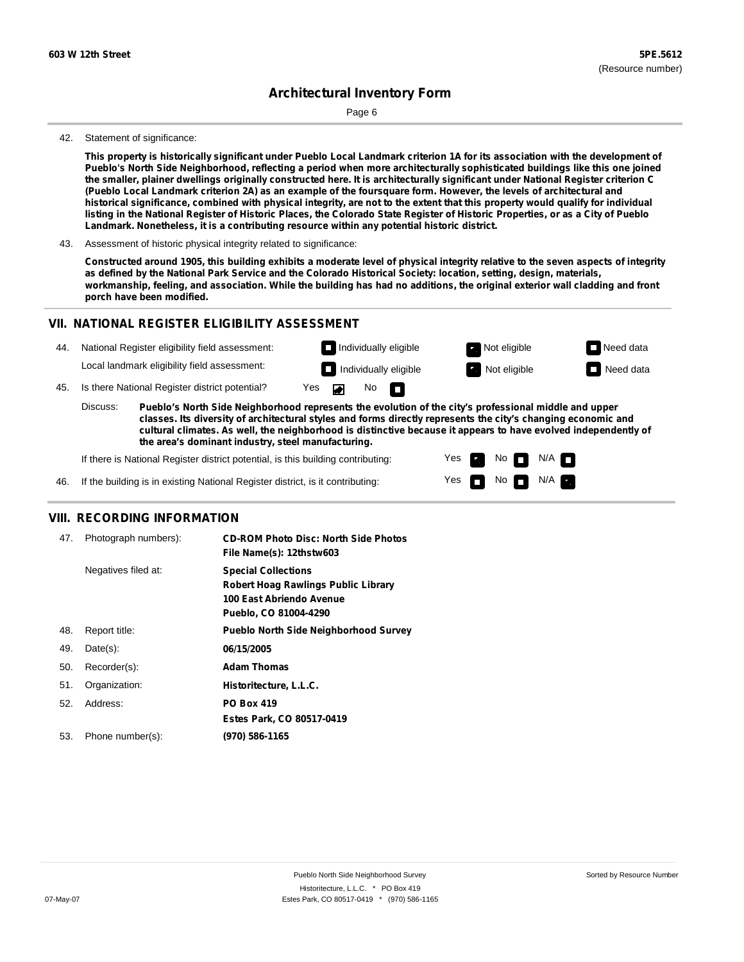Page 6

#### 42. Statement of significance:

This property is historically significant under Pueblo Local Landmark criterion 1A for its association with the development of Pueblo's North Side Neighborhood, reflecting a period when more architecturally sophisticated buildings like this one joined the smaller, plainer dwellings originally constructed here. It is architecturally significant under National Register criterion C (Pueblo Local Landmark criterion 2A) as an example of the foursquare form. However, the levels of architectural and historical significance, combined with physical integrity, are not to the extent that this property would qualify for individual listing in the National Register of Historic Places, the Colorado State Register of Historic Properties, or as a City of Pueblo **Landmark. Nonetheless, it is a contributing resource within any potential historic district.**

43. Assessment of historic physical integrity related to significance:

Constructed around 1905, this building exhibits a moderate level of physical integrity relative to the seven aspects of integrity as defined by the National Park Service and the Colorado Historical Society: location, setting, design, materials, workmanship, feeling, and association. While the building has had no additions, the original exterior wall cladding and front **porch have been modified.**

#### **VII. NATIONAL REGISTER ELIGIBILITY ASSESSMENT**

|                                                       | Pueblo's North Side Neighborhood represents the evolution of the city's professional middle and upper<br>Discuss:<br>classes Its diversity of architectural styles and forms directly represents the city's changing economic and |                                              |                                 |  |  |                              |                       |                  |
|-------------------------------------------------------|-----------------------------------------------------------------------------------------------------------------------------------------------------------------------------------------------------------------------------------|----------------------------------------------|---------------------------------|--|--|------------------------------|-----------------------|------------------|
| Is there National Register district potential?<br>45. |                                                                                                                                                                                                                                   |                                              | No $\Box$<br>Yes $\blacksquare$ |  |  |                              |                       |                  |
|                                                       |                                                                                                                                                                                                                                   | Local landmark eligibility field assessment: |                                 |  |  | $\Box$ Individually eligible | <b>R</b> Not eligible | $\Box$ Need data |
| 44.                                                   | National Register eligibility field assessment:                                                                                                                                                                                   | $\Box$ Individually eligible                 |                                 |  |  | <b>Not eligible</b>          | $\Box$ Need data      |                  |

**classes. Its diversity of architectural styles and forms directly represents the city's changing economic and cultural climates. As well, the neighborhood is distinctive because it appears to have evolved independently of the area's dominant industry, steel manufacturing.**

Yes

Yes **not** Not N/A

No **DI**N/A

If there is National Register district potential, is this building contributing:

46. If the building is in existing National Register district, is it contributing:

#### **VIII. RECORDING INFORMATION**

| 47. | Photograph numbers): | <b>CD-ROM Photo Disc: North Side Photos</b><br>File Name(s): 12thstw603                                                       |
|-----|----------------------|-------------------------------------------------------------------------------------------------------------------------------|
|     | Negatives filed at:  | <b>Special Collections</b><br><b>Robert Hoag Rawlings Public Library</b><br>100 East Abriendo Avenue<br>Pueblo, CO 81004-4290 |
| 48. | Report title:        | <b>Pueblo North Side Neighborhood Survey</b>                                                                                  |
| 49. | $Date(s)$ :          | 06/15/2005                                                                                                                    |
| 50. | Recorder(s):         | <b>Adam Thomas</b>                                                                                                            |
| 51. | Organization:        | Historitecture, L.L.C.                                                                                                        |
| 52. | Address:             | <b>PO Box 419</b>                                                                                                             |
|     |                      | Estes Park, CO 80517-0419                                                                                                     |
| 53. | Phone number(s):     | (970) 586-1165                                                                                                                |
|     |                      |                                                                                                                               |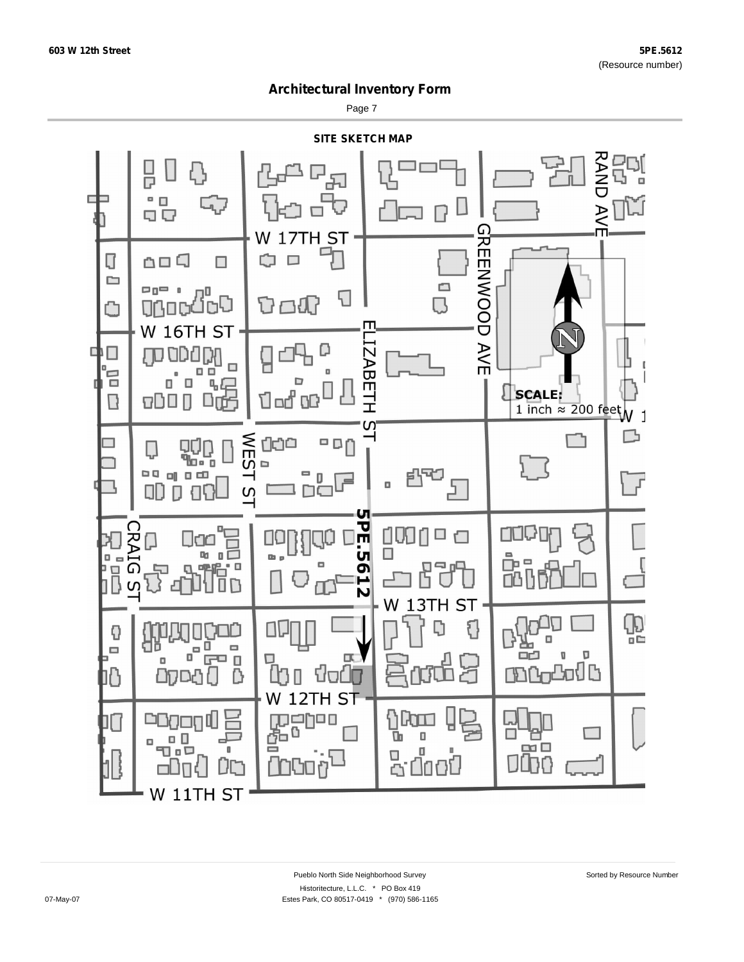Page 7